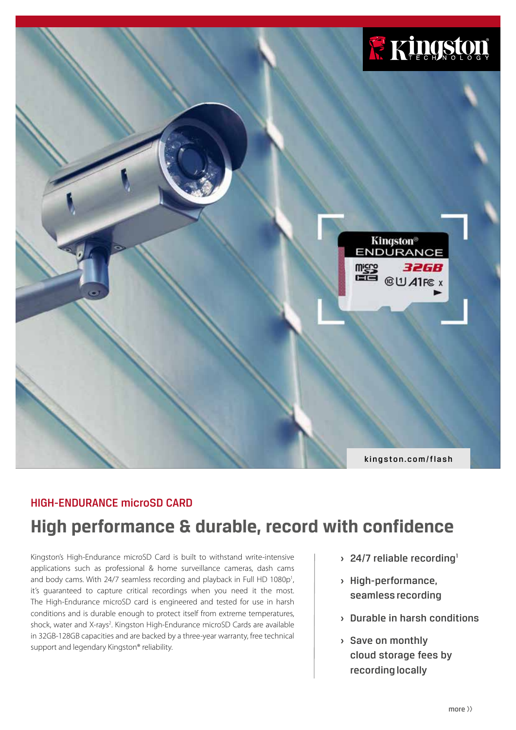

## HIGH-ENDURANCE microSD CARD

# **High performance & durable, record with confidence**

Kingston's High-Endurance microSD Card is built to withstand write-intensive applications such as professional & home surveillance cameras, dash cams and body cams. With 24/7 seamless recording and playback in Full HD 1080p<sup>1</sup>, it's guaranteed to capture critical recordings when you need it the most. The High-Endurance microSD card is engineered and tested for use in harsh conditions and is durable enough to protect itself from extreme temperatures, shock, water and X-rays<sup>2</sup>. Kingston High-Endurance microSD Cards are available in 32GB-128GB capacities and are backed by a three-year warranty, free technical support and legendary Kingston® reliability.

- **> 24/7 reliable recording<sup>1</sup>**
- **›** High-performance, seamless recording
- **›** Durable in harsh conditions
- **›** Save on monthly cloud storage fees by recording locally